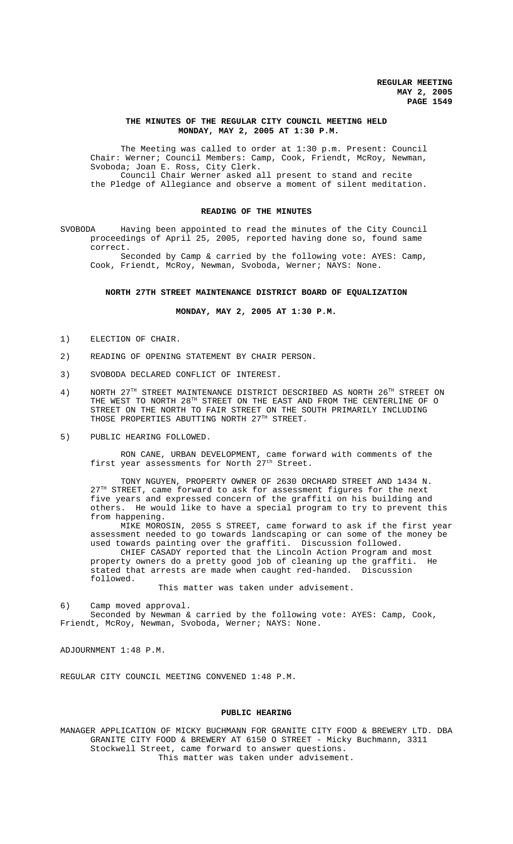### **THE MINUTES OF THE REGULAR CITY COUNCIL MEETING HELD MONDAY, MAY 2, 2005 AT 1:30 P.M.**

The Meeting was called to order at 1:30 p.m. Present: Council Chair: Werner; Council Members: Camp, Cook, Friendt, McRoy, Newman, Svoboda; Joan E. Ross, City Clerk. Council Chair Werner asked all present to stand and recite

the Pledge of Allegiance and observe a moment of silent meditation.

### **READING OF THE MINUTES**

SVOBODA Having been appointed to read the minutes of the City Council proceedings of April 25, 2005, reported having done so, found same correct.

Seconded by Camp & carried by the following vote: AYES: Camp, Cook, Friendt, McRoy, Newman, Svoboda, Werner; NAYS: None.

#### **NORTH 27TH STREET MAINTENANCE DISTRICT BOARD OF EQUALIZATION**

**MONDAY, MAY 2, 2005 AT 1:30 P.M.**

- 1) ELECTION OF CHAIR.
- 2) READING OF OPENING STATEMENT BY CHAIR PERSON.
- 3) SVOBODA DECLARED CONFLICT OF INTEREST.
- 4) NORTH 27<sup>TH</sup> STREET MAINTENANCE DISTRICT DESCRIBED AS NORTH 26<sup>TH</sup> STREET ON THE WEST TO NORTH  $28^{TH}$  STREET ON THE EAST AND FROM THE CENTERLINE OF O STREET ON THE NORTH TO FAIR STREET ON THE SOUTH PRIMARILY INCLUDING THOSE PROPERTIES ABUTTING NORTH 27TH STREET.
- 5) PUBLIC HEARING FOLLOWED.

RON CANE, URBAN DEVELOPMENT, came forward with comments of the first year assessments for North  $27<sup>th</sup>$  Street.

TONY NGUYEN, PROPERTY OWNER OF 2630 ORCHARD STREET AND 1434 N.  $27<sup>TH</sup>$  STREET, came forward to ask for assessment figures for the next five years and expressed concern of the graffiti on his building and others. He would like to have a special program to try to prevent this from happening.

MIKE MOROSIN, 2055 S STREET, came forward to ask if the first year assessment needed to go towards landscaping or can some of the money be used towards painting over the graffiti. Discussion followed.

CHIEF CASADY reported that the Lincoln Action Program and most property owners do a pretty good job of cleaning up the graffiti. He stated that arrests are made when caught red-handed. Discussion followed.

This matter was taken under advisement.

6) Camp moved approval.

Seconded by Newman & carried by the following vote: AYES: Camp, Cook, Friendt, McRoy, Newman, Svoboda, Werner; NAYS: None.

ADJOURNMENT 1:48 P.M.

REGULAR CITY COUNCIL MEETING CONVENED 1:48 P.M.

### **PUBLIC HEARING**

MANAGER APPLICATION OF MICKY BUCHMANN FOR GRANITE CITY FOOD & BREWERY LTD. DBA GRANITE CITY FOOD & BREWERY AT 6150 O STREET - Micky Buchmann, 3311 Stockwell Street, came forward to answer questions. This matter was taken under advisement.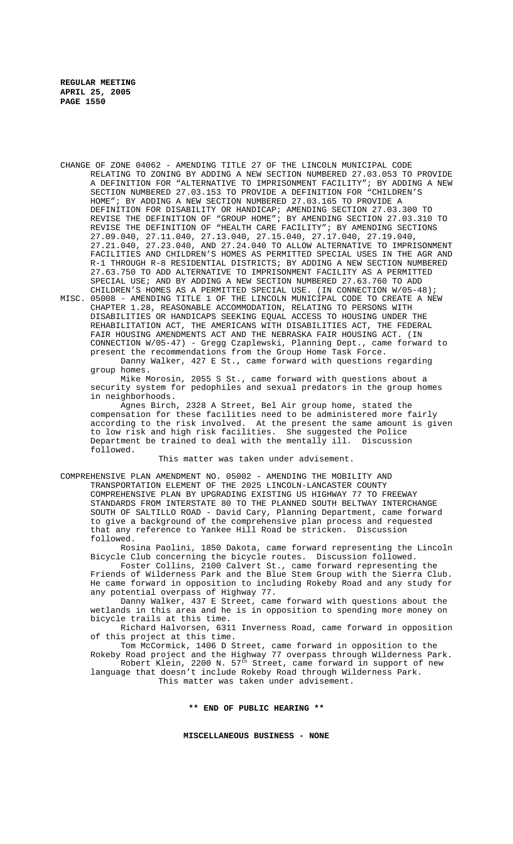CHANGE OF ZONE 04062 - AMENDING TITLE 27 OF THE LINCOLN MUNICIPAL CODE RELATING TO ZONING BY ADDING A NEW SECTION NUMBERED 27.03.053 TO PROVIDE A DEFINITION FOR "ALTERNATIVE TO IMPRISONMENT FACILITY"; BY ADDING A NEW SECTION NUMBERED 27.03.153 TO PROVIDE A DEFINITION FOR "CHILDREN'S HOME"; BY ADDING A NEW SECTION NUMBERED 27.03.165 TO PROVIDE A DEFINITION FOR DISABILITY OR HANDICAP; AMENDING SECTION 27.03.300 TO REVISE THE DEFINITION OF "GROUP HOME"; BY AMENDING SECTION 27.03.310 TO REVISE THE DEFINITION OF "HEALTH CARE FACILITY"; BY AMENDING SECTIONS 27.09.040, 27.11.040, 27.13.040, 27.15.040, 27.17.040, 27.19.040, 27.21.040, 27.23.040, AND 27.24.040 TO ALLOW ALTERNATIVE TO IMPRISONMENT FACILITIES AND CHILDREN'S HOMES AS PERMITTED SPECIAL USES IN THE AGR AND R-1 THROUGH R-8 RESIDENTIAL DISTRICTS; BY ADDING A NEW SECTION NUMBERED 27.63.750 TO ADD ALTERNATIVE TO IMPRISONMENT FACILITY AS A PERMITTED SPECIAL USE; AND BY ADDING A NEW SECTION NUMBERED 27.63.760 TO ADD CHILDREN'S HOMES AS A PERMITTED SPECIAL USE. (IN CONNECTION W/05-48);

MISC. 05008 - AMENDING TITLE 1 OF THE LINCOLN MUNICIPAL CODE TO CREATE A NEW CHAPTER 1.28, REASONABLE ACCOMMODATION, RELATING TO PERSONS WITH DISABILITIES OR HANDICAPS SEEKING EQUAL ACCESS TO HOUSING UNDER THE REHABILITATION ACT, THE AMERICANS WITH DISABILITIES ACT, THE FEDERAL FAIR HOUSING AMENDMENTS ACT AND THE NEBRASKA FAIR HOUSING ACT. (IN CONNECTION W/05-47) - Gregg Czaplewski, Planning Dept., came forward to present the recommendations from the Group Home Task Force. Danny Walker, 427 E St., came forward with questions regarding

group homes. Mike Morosin, 2055 S St., came forward with questions about a security system for pedophiles and sexual predators in the group homes in neighborhoods.

Agnes Birch, 2328 A Street, Bel Air group home, stated the compensation for these facilities need to be administered more fairly according to the risk involved. At the present the same amount is given to low risk and high risk facilities. She suggested the Police Department be trained to deal with the mentally ill. Discussion followed.

This matter was taken under advisement.

COMPREHENSIVE PLAN AMENDMENT NO. 05002 - AMENDING THE MOBILITY AND

TRANSPORTATION ELEMENT OF THE 2025 LINCOLN-LANCASTER COUNTY COMPREHENSIVE PLAN BY UPGRADING EXISTING US HIGHWAY 77 TO FREEWAY STANDARDS FROM INTERSTATE 80 TO THE PLANNED SOUTH BELTWAY INTERCHANGE SOUTH OF SALTILLO ROAD - David Cary, Planning Department, came forward to give a background of the comprehensive plan process and requested that any reference to Yankee Hill Road be stricken. Discussion followed.

Rosina Paolini, 1850 Dakota, came forward representing the Lincoln Bicycle Club concerning the bicycle routes. Discussion followed.

Foster Collins, 2100 Calvert St., came forward representing the Friends of Wilderness Park and the Blue Stem Group with the Sierra Club. He came forward in opposition to including Rokeby Road and any study for any potential overpass of Highway 77.

Danny Walker, 437 E Street, came forward with questions about the wetlands in this area and he is in opposition to spending more money on bicycle trails at this time.

Richard Halvorsen, 6311 Inverness Road, came forward in opposition of this project at this time.

Tom McCormick, 1406 D Street, came forward in opposition to the Rokeby Road project and the Highway 77 overpass through Wilderness Park.

Robert Klein, 2200 N. 57<sup>th</sup> Street, came forward in support of new language that doesn't include Rokeby Road through Wilderness Park. This matter was taken under advisement.

#### **\*\* END OF PUBLIC HEARING \*\***

**MISCELLANEOUS BUSINESS - NONE**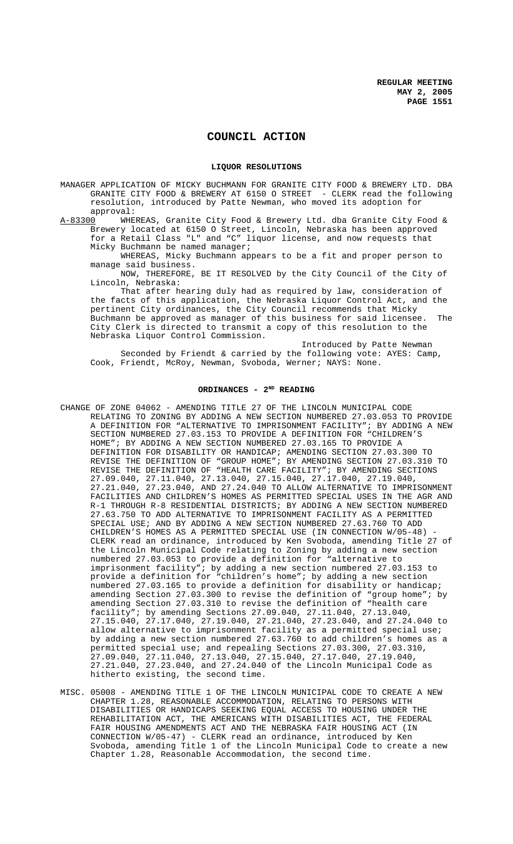# **COUNCIL ACTION**

#### **LIQUOR RESOLUTIONS**

MANAGER APPLICATION OF MICKY BUCHMANN FOR GRANITE CITY FOOD & BREWERY LTD. DBA GRANITE CITY FOOD & BREWERY AT 6150 O STREET - CLERK read the following resolution, introduced by Patte Newman, who moved its adoption for approval:<br>A-83300 WHEP

A-83300 WHEREAS, Granite City Food & Brewery Ltd. dba Granite City Food & Brewery located at 6150 O Street, Lincoln, Nebraska has been approved for a Retail Class "L" and "C" liquor license, and now requests that Micky Buchmann be named manager;

WHEREAS, Micky Buchmann appears to be a fit and proper person to manage said business.

NOW, THEREFORE, BE IT RESOLVED by the City Council of the City of Lincoln, Nebraska:

That after hearing duly had as required by law, consideration of the facts of this application, the Nebraska Liquor Control Act, and the pertinent City ordinances, the City Council recommends that Micky Buchmann be approved as manager of this business for said licensee. The City Clerk is directed to transmit a copy of this resolution to the Nebraska Liquor Control Commission.

Introduced by Patte Newman Seconded by Friendt & carried by the following vote: AYES: Camp, Cook, Friendt, McRoy, Newman, Svoboda, Werner; NAYS: None.

# ORDINANCES - 2<sup>ND</sup> READING

- CHANGE OF ZONE 04062 AMENDING TITLE 27 OF THE LINCOLN MUNICIPAL CODE RELATING TO ZONING BY ADDING A NEW SECTION NUMBERED 27.03.053 TO PROVIDE A DEFINITION FOR "ALTERNATIVE TO IMPRISONMENT FACILITY"; BY ADDING A NEW SECTION NUMBERED 27.03.153 TO PROVIDE A DEFINITION FOR "CHILDREN'S HOME"; BY ADDING A NEW SECTION NUMBERED 27.03.165 TO PROVIDE A DEFINITION FOR DISABILITY OR HANDICAP; AMENDING SECTION 27.03.300 TO REVISE THE DEFINITION OF "GROUP HOME"; BY AMENDING SECTION 27.03.310 TO REVISE THE DEFINITION OF "HEALTH CARE FACILITY"; BY AMENDING SECTIONS 27.09.040, 27.11.040, 27.13.040, 27.15.040, 27.17.040, 27.19.040, 27.21.040, 27.23.040, AND 27.24.040 TO ALLOW ALTERNATIVE TO IMPRISONMENT FACILITIES AND CHILDREN'S HOMES AS PERMITTED SPECIAL USES IN THE AGR AND R-1 THROUGH R-8 RESIDENTIAL DISTRICTS; BY ADDING A NEW SECTION NUMBERED 27.63.750 TO ADD ALTERNATIVE TO IMPRISONMENT FACILITY AS A PERMITTED SPECIAL USE; AND BY ADDING A NEW SECTION NUMBERED 27.63.760 TO ADD CHILDREN'S HOMES AS A PERMITTED SPECIAL USE (IN CONNECTION  $W/05-48$ ) CLERK read an ordinance, introduced by Ken Svoboda, amending Title 27 of the Lincoln Municipal Code relating to Zoning by adding a new section numbered 27.03.053 to provide a definition for "alternative to imprisonment facility"; by adding a new section numbered 27.03.153 to provide a definition for "children's home"; by adding a new section numbered 27.03.165 to provide a definition for disability or handicap; amending Section 27.03.300 to revise the definition of "group home"; by amending Section 27.03.310 to revise the definition of "health care facility"; by amending Sections 27.09.040, 27.11.040, 27.13.040, 27.15.040, 27.17.040, 27.19.040, 27.21.040, 27.23.040, and 27.24.040 to allow alternative to imprisonment facility as a permitted special use; by adding a new section numbered 27.63.760 to add children's homes as a permitted special use; and repealing Sections 27.03.300, 27.03.310, 27.09.040, 27.11.040, 27.13.040, 27.15.040, 27.17.040, 27.19.040, 27.21.040, 27.23.040, and 27.24.040 of the Lincoln Municipal Code as hitherto existing, the second time.
- MISC. 05008 AMENDING TITLE 1 OF THE LINCOLN MUNICIPAL CODE TO CREATE A NEW CHAPTER 1.28, REASONABLE ACCOMMODATION, RELATING TO PERSONS WITH DISABILITIES OR HANDICAPS SEEKING EQUAL ACCESS TO HOUSING UNDER THE REHABILITATION ACT, THE AMERICANS WITH DISABILITIES ACT, THE FEDERAL FAIR HOUSING AMENDMENTS ACT AND THE NEBRASKA FAIR HOUSING ACT (IN CONNECTION W/05-47) - CLERK read an ordinance, introduced by Ken Svoboda, amending Title 1 of the Lincoln Municipal Code to create a new Chapter 1.28, Reasonable Accommodation, the second time.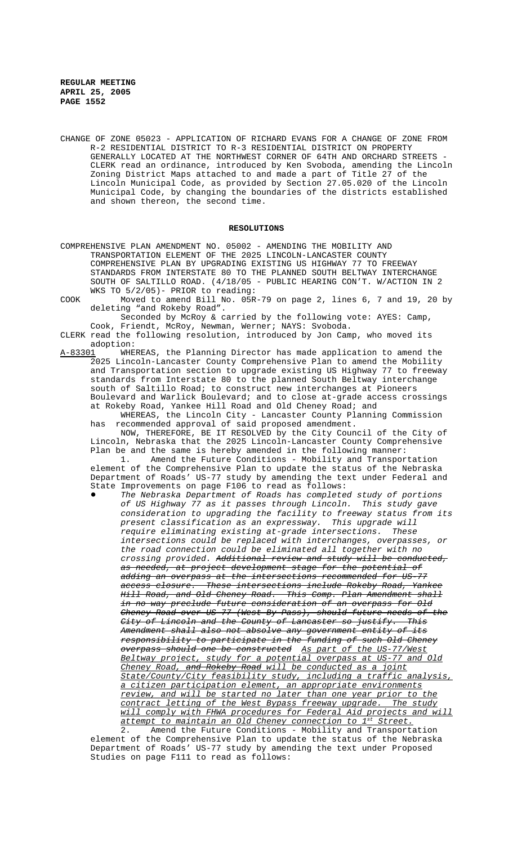CHANGE OF ZONE 05023 - APPLICATION OF RICHARD EVANS FOR A CHANGE OF ZONE FROM R-2 RESIDENTIAL DISTRICT TO R-3 RESIDENTIAL DISTRICT ON PROPERTY GENERALLY LOCATED AT THE NORTHWEST CORNER OF 64TH AND ORCHARD STREETS - CLERK read an ordinance, introduced by Ken Svoboda, amending the Lincoln Zoning District Maps attached to and made a part of Title 27 of the Lincoln Municipal Code, as provided by Section 27.05.020 of the Lincoln Municipal Code, by changing the boundaries of the districts established and shown thereon, the second time.

#### **RESOLUTIONS**

COMPREHENSIVE PLAN AMENDMENT NO. 05002 - AMENDING THE MOBILITY AND TRANSPORTATION ELEMENT OF THE 2025 LINCOLN-LANCASTER COUNTY COMPREHENSIVE PLAN BY UPGRADING EXISTING US HIGHWAY 77 TO FREEWAY STANDARDS FROM INTERSTATE 80 TO THE PLANNED SOUTH BELTWAY INTERCHANGE SOUTH OF SALTILLO ROAD. (4/18/05 - PUBLIC HEARING CON'T. W/ACTION IN 2 WKS TO 5/2/05)- PRIOR to reading:

COOK Moved to amend Bill No. 05R-79 on page 2, lines 6, 7 and 19, 20 by deleting "and Rokeby Road".

Seconded by McRoy & carried by the following vote: AYES: Camp, Cook, Friendt, McRoy, Newman, Werner; NAYS: Svoboda.

CLERK read the following resolution, introduced by Jon Camp, who moved its adoption:<br>A-83301 WHE

WHEREAS, the Planning Director has made application to amend the 2025 Lincoln-Lancaster County Comprehensive Plan to amend the Mobility and Transportation section to upgrade existing US Highway 77 to freeway standards from Interstate 80 to the planned South Beltway interchange south of Saltillo Road; to construct new interchanges at Pioneers Boulevard and Warlick Boulevard; and to close at-grade access crossings at Rokeby Road, Yankee Hill Road and Old Cheney Road; and

WHEREAS, the Lincoln City - Lancaster County Planning Commission has recommended approval of said proposed amendment.

NOW, THEREFORE, BE IT RESOLVED by the City Council of the City of Lincoln, Nebraska that the 2025 Lincoln-Lancaster County Comprehensive Plan be and the same is hereby amended in the following manner:

1. Amend the Future Conditions - Mobility and Transportation element of the Comprehensive Plan to update the status of the Nebraska Department of Roads' US-77 study by amending the text under Federal and State Improvements on page F106 to read as follows:

! *The Nebraska Department of Roads has completed study of portions of US Highway 77 as it passes through Lincoln. This study gave consideration to upgrading the facility to freeway status from its present classification as an expressway. This upgrade will require eliminating existing at-grade intersections. These intersections could be replaced with interchanges, overpasses, or the road connection could be eliminated all together with no crossing provided. Additional review and study will be conducted, as needed, at project development stage for the potential of adding an overpass at the intersections recommended for US-77 access closure. These intersections include Rokeby Road, Yankee Hill Road, and Old Cheney Road. This Comp. Plan Amendment shall in no way preclude future consideration of an overpass for Old Cheney Road over US-77 (West By-Pass), should future needs of the City of Lincoln and the County of Lancaster so justify. This Amendment shall also not absolve any government entity of its responsibility to participate in the funding of such Old Cheney overpass should one be constructed As part of the US-77/West Beltway project, study for a potential overpass at US-77 and Old Cheney Road, and Rokeby Road will be conducted as a joint State/County/City feasibility study, including a traffic analysis, a citizen participation element, an appropriate environments review, and will be started no later than one year prior to the contract letting of the West Bypass freeway upgrade. The study will comply with FHWA procedures for Federal Aid projects and will attempt to maintain an Old Cheney connection to 1st Street.*

2. Amend the Future Conditions - Mobility and Transportation element of the Comprehensive Plan to update the status of the Nebraska Department of Roads' US-77 study by amending the text under Proposed Studies on page F111 to read as follows: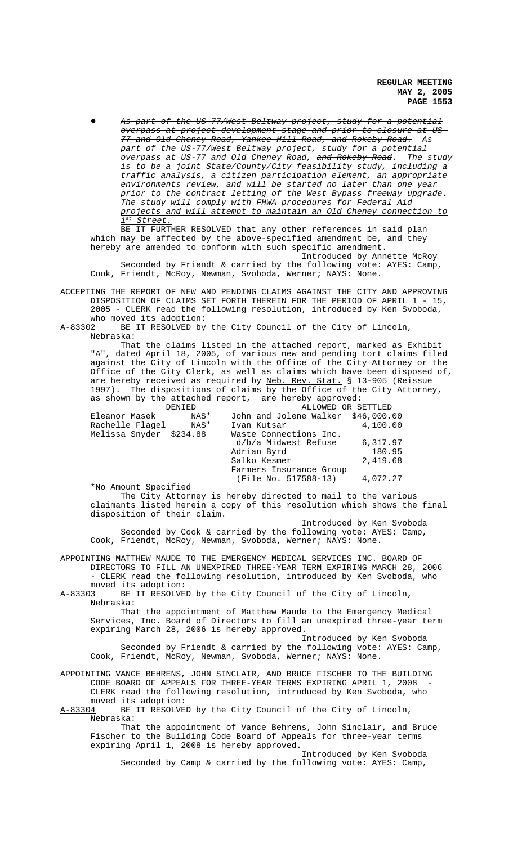**REGULAR MEETING MAY 2, 2005 PAGE 1553**

! *As part of the US-77/West Beltway project, study for a potential overpass at project development stage and prior to closure at US-77 and Old Cheney Road, Yankee Hill Road, and Rokeby Road. As part of the US-77/West Beltway project, study for a potential overpass at US-77 and Old Cheney Road, and Rokeby Road. The study is to be a joint State/County/City feasibility study, including a traffic analysis, a citizen participation element, an appropriate environments review, and will be started no later than one year prior to the contract letting of the West Bypass freeway upgrade. The study will comply with FHWA procedures for Federal Aid projects and will attempt to maintain an Old Cheney connection to 1st Street.*

BE IT FURTHER RESOLVED that any other references in said plan which may be affected by the above-specified amendment be, and they hereby are amended to conform with such specific amendment.

Introduced by Annette McRoy Seconded by Friendt & carried by the following vote: AYES: Camp, Cook, Friendt, McRoy, Newman, Svoboda, Werner; NAYS: None.

ACCEPTING THE REPORT OF NEW AND PENDING CLAIMS AGAINST THE CITY AND APPROVING DISPOSITION OF CLAIMS SET FORTH THEREIN FOR THE PERIOD OF APRIL 1 - 15, 2005 - CLERK read the following resolution, introduced by Ken Svoboda, who moved its adoption:

A-83302 BE IT RESOLVED by the City Council of the City of Lincoln, Nebraska:

That the claims listed in the attached report, marked as Exhibit "A", dated April 18, 2005, of various new and pending tort claims filed against the City of Lincoln with the Office of the City Attorney or the Office of the City Clerk, as well as claims which have been disposed of, are hereby received as required by Neb. Rev. Stat. § 13-905 (Reissue 1997). The dispositions of claims by the Office of the City Attorney, as shown by the attached report, are hereby approved:

|                         | DENIED | ALLOWED OR SETTLED                 |          |
|-------------------------|--------|------------------------------------|----------|
| Eleanor Masek           | NAS*   | John and Jolene Walker \$46,000.00 |          |
| Rachelle Flaqel         | NAS*   | Ivan Kutsar                        | 4,100.00 |
| Melissa Snyder \$234.88 |        | Waste Connections Inc.             |          |
|                         |        | d/b/a Midwest Refuse               | 6,317.97 |
|                         |        | Adrian Byrd                        | 180.95   |
|                         |        | Salko Kesmer                       | 2,419.68 |
|                         |        | Farmers Insurance Group            |          |
|                         |        | (File No. 517588-13)               | 4,072.27 |

\*No Amount Specified

The City Attorney is hereby directed to mail to the various claimants listed herein a copy of this resolution which shows the final disposition of their claim.

Introduced by Ken Svoboda Seconded by Cook & carried by the following vote: AYES: Camp, Cook, Friendt, McRoy, Newman, Svoboda, Werner; NAYS: None.

APPOINTING MATTHEW MAUDE TO THE EMERGENCY MEDICAL SERVICES INC. BOARD OF DIRECTORS TO FILL AN UNEXPIRED THREE-YEAR TERM EXPIRING MARCH 28, 2006 - CLERK read the following resolution, introduced by Ken Svoboda, who moved its adoption:<br>A-83303 BE IT RESOLVE

BE IT RESOLVED by the City Council of the City of Lincoln, Nebraska:

That the appointment of Matthew Maude to the Emergency Medical Services, Inc. Board of Directors to fill an unexpired three-year term expiring March 28, 2006 is hereby approved.

Introduced by Ken Svoboda Seconded by Friendt & carried by the following vote: AYES: Camp, Cook, Friendt, McRoy, Newman, Svoboda, Werner; NAYS: None.

APPOINTING VANCE BEHRENS, JOHN SINCLAIR, AND BRUCE FISCHER TO THE BUILDING CODE BOARD OF APPEALS FOR THREE-YEAR TERMS EXPIRING APRIL 1, 2008 CLERK read the following resolution, introduced by Ken Svoboda, who

moved its adoption:<br>A-83304 BE IT RESOLVE BE IT RESOLVED by the City Council of the City of Lincoln, Nebraska:

That the appointment of Vance Behrens, John Sinclair, and Bruce Fischer to the Building Code Board of Appeals for three-year terms expiring April 1, 2008 is hereby approved.

Introduced by Ken Svoboda Seconded by Camp & carried by the following vote: AYES: Camp,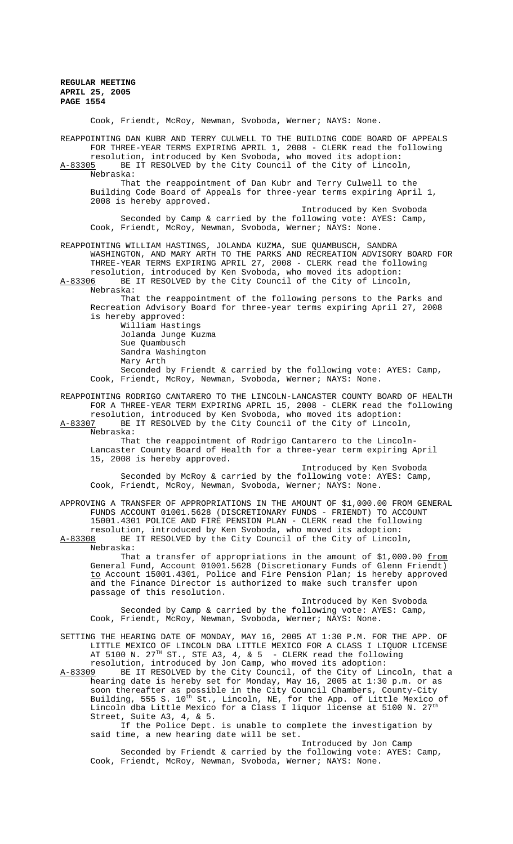Cook, Friendt, McRoy, Newman, Svoboda, Werner; NAYS: None.

REAPPOINTING DAN KUBR AND TERRY CULWELL TO THE BUILDING CODE BOARD OF APPEALS FOR THREE-YEAR TERMS EXPIRING APRIL 1, 2008 - CLERK read the following resolution, introduced by Ken Svoboda, who moved its adoption:

A-83305 BE IT RESOLVED by the City Council of the City of Lincoln Nebraska:

That the reappointment of Dan Kubr and Terry Culwell to the Building Code Board of Appeals for three-year terms expiring April 1, 2008 is hereby approved.

Introduced by Ken Svoboda Seconded by Camp & carried by the following vote: AYES: Camp, Cook, Friendt, McRoy, Newman, Svoboda, Werner; NAYS: None.

REAPPOINTING WILLIAM HASTINGS, JOLANDA KUZMA, SUE QUAMBUSCH, SANDRA WASHINGTON, AND MARY ARTH TO THE PARKS AND RECREATION ADVISORY BOARD FOR THREE-YEAR TERMS EXPIRING APRIL 27, 2008 - CLERK read the following resolution, introduced by Ken Svoboda, who moved its adoption:<br>A-83306 BE IT RESOLVED by the City Council of the City of Lincol

BE IT RESOLVED by the City Council of the City of Lincoln, Nebraska:

That the reappointment of the following persons to the Parks and Recreation Advisory Board for three-year terms expiring April 27, 2008 is hereby approved:

William Hastings Jolanda Junge Kuzma Sue Quambusch Sandra Washington Mary Arth

Seconded by Friendt & carried by the following vote: AYES: Camp, Cook, Friendt, McRoy, Newman, Svoboda, Werner; NAYS: None.

REAPPOINTING RODRIGO CANTARERO TO THE LINCOLN-LANCASTER COUNTY BOARD OF HEALTH FOR A THREE-YEAR TERM EXPIRING APRIL 15, 2008 - CLERK read the following resolution, introduced by Ken Svoboda, who moved its adoption:<br>A-83307 BE IT RESOLVED by the City Council of the City of Lincol

BE IT RESOLVED by the City Council of the City of Lincoln, Nebraska:

That the reappointment of Rodrigo Cantarero to the Lincoln-Lancaster County Board of Health for a three-year term expiring April 15, 2008 is hereby approved.

Introduced by Ken Svoboda Seconded by McRoy & carried by the following vote: AYES: Camp, Cook, Friendt, McRoy, Newman, Svoboda, Werner; NAYS: None.

APPROVING A TRANSFER OF APPROPRIATIONS IN THE AMOUNT OF \$1,000.00 FROM GENERAL FUNDS ACCOUNT 01001.5628 (DISCRETIONARY FUNDS - FRIENDT) TO ACCOUNT 15001.4301 POLICE AND FIRE PENSION PLAN - CLERK read the following resolution, introduced by Ken Svoboda, who moved its adoption:

A-83308 BE IT RESOLVED by the City Council of the City of Lincoln, Nebraska:

That a transfer of appropriations in the amount of  $$1,000.00$  from General Fund, Account 01001.5628 (Discretionary Funds of Glenn Friendt) to Account 15001.4301, Police and Fire Pension Plan; is hereby approved and the Finance Director is authorized to make such transfer upon passage of this resolution.

Introduced by Ken Svoboda Seconded by Camp & carried by the following vote: AYES: Camp, Cook, Friendt, McRoy, Newman, Svoboda, Werner; NAYS: None.

SETTING THE HEARING DATE OF MONDAY, MAY 16, 2005 AT 1:30 P.M. FOR THE APP. OF LITTLE MEXICO OF LINCOLN DBA LITTLE MEXICO FOR A CLASS I LIQUOR LICENSE AT 5100 N.  $27^{\text{\tiny{TH}}}$  ST., STE A3, 4, & 5 - CLERK read the following resolution, introduced by Jon Camp, who moved its adoption:

A-83309 BE IT RESOLVED by the City Council, of the City of Lincoln, that a hearing date is hereby set for Monday, May 16, 2005 at 1:30 p.m. or as soon thereafter as possible in the City Council Chambers, County-City Building, 555 S. 10<sup>th</sup> St., Lincoln, NE, for the App. of Little Mexico of Lincoln dba Little Mexico for a Class I liquor license at 5100 N.  $27^{tl}$ Street, Suite A3, 4, & 5.

If the Police Dept. is unable to complete the investigation by said time, a new hearing date will be set.

Introduced by Jon Camp Seconded by Friendt & carried by the following vote: AYES: Camp, Cook, Friendt, McRoy, Newman, Svoboda, Werner; NAYS: None.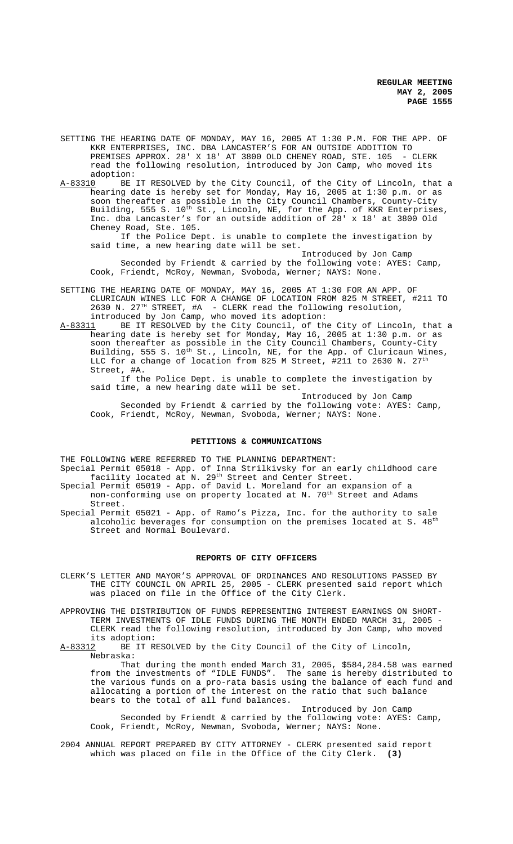- SETTING THE HEARING DATE OF MONDAY, MAY 16, 2005 AT 1:30 P.M. FOR THE APP. OF KKR ENTERPRISES, INC. DBA LANCASTER'S FOR AN OUTSIDE ADDITION TO PREMISES APPROX. 28' X 18' AT 3800 OLD CHENEY ROAD, STE. 105 - CLERK read the following resolution, introduced by Jon Camp, who moved its adoption:<br>A-83310 BE
- BE IT RESOLVED by the City Council, of the City of Lincoln, that a hearing date is hereby set for Monday, May 16, 2005 at 1:30 p.m. or as soon thereafter as possible in the City Council Chambers, County-City Building, 555 S. 10<sup>th</sup> St., Lincoln, NE, for the App. of KKR Enterprises, Inc. dba Lancaster's for an outside addition of 28' x 18' at 3800 Old Cheney Road, Ste. 105.

If the Police Dept. is unable to complete the investigation by said time, a new hearing date will be set.

Introduced by Jon Camp Seconded by Friendt & carried by the following vote: AYES: Camp, Cook, Friendt, McRoy, Newman, Svoboda, Werner; NAYS: None.

- SETTING THE HEARING DATE OF MONDAY, MAY 16, 2005 AT 1:30 FOR AN APP. OF CLURICAUN WINES LLC FOR A CHANGE OF LOCATION FROM 825 M STREET, #211 TO 2630 N. 27 $^{TH}$  STREET, #A - CLERK read the following resolution, introduced by Jon Camp, who moved its adoption:
- A-83311 BE IT RESOLVED by the City Council, of the City of Lincoln, that a hearing date is hereby set for Monday, May 16, 2005 at 1:30 p.m. or as soon thereafter as possible in the City Council Chambers, County-City Building, 555 S. 10<sup>th</sup> St., Lincoln, NE, for the App. of Cluricaun Wines, LLC for a change of location from 825 M Street, #211 to 2630 N. 2 $7^{\rm th}$ Street, #A.

If the Police Dept. is unable to complete the investigation by said time, a new hearing date will be set.

Introduced by Jon Camp Seconded by Friendt & carried by the following vote: AYES: Camp, Cook, Friendt, McRoy, Newman, Svoboda, Werner; NAYS: None.

#### **PETITIONS & COMMUNICATIONS**

THE FOLLOWING WERE REFERRED TO THE PLANNING DEPARTMENT:

- Special Permit 05018 App. of Inna Strilkivsky for an early childhood care facility located at N. 29<sup>th</sup> Street and Center Street.
- Special Permit 05019 App. of David L. Moreland for an expansion of a non-conforming use on property located at N. 70<sup>th</sup> Street and Adams Street.
- Special Permit 05021 App. of Ramo's Pizza, Inc. for the authority to sale alcoholic beverages for consumption on the premises located at S.  $48^{\rm th}$ Street and Normal Boulevard.

#### **REPORTS OF CITY OFFICERS**

- CLERK'S LETTER AND MAYOR'S APPROVAL OF ORDINANCES AND RESOLUTIONS PASSED BY THE CITY COUNCIL ON APRIL 25, 2005 - CLERK presented said report which was placed on file in the Office of the City Clerk.
- APPROVING THE DISTRIBUTION OF FUNDS REPRESENTING INTEREST EARNINGS ON SHORT-TERM INVESTMENTS OF IDLE FUNDS DURING THE MONTH ENDED MARCH 31, 2005 -CLERK read the following resolution, introduced by Jon Camp, who moved its adoption:<br>A-83312 BE IT R

BE IT RESOLVED by the City Council of the City of Lincoln, Nebraska:

That during the month ended March 31, 2005, \$584,284.58 was earned from the investments of "IDLE FUNDS". The same is hereby distributed to the various funds on a pro-rata basis using the balance of each fund and allocating a portion of the interest on the ratio that such balance bears to the total of all fund balances.

Introduced by Jon Camp Seconded by Friendt & carried by the following vote: AYES: Camp, Cook, Friendt, McRoy, Newman, Svoboda, Werner; NAYS: None.

2004 ANNUAL REPORT PREPARED BY CITY ATTORNEY - CLERK presented said report which was placed on file in the Office of the City Clerk. **(3)**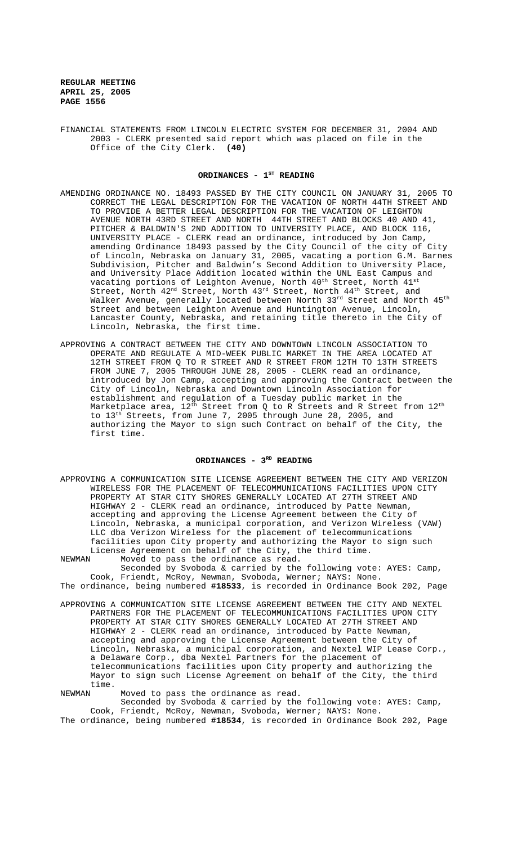FINANCIAL STATEMENTS FROM LINCOLN ELECTRIC SYSTEM FOR DECEMBER 31, 2004 AND 2003 - CLERK presented said report which was placed on file in the Office of the City Clerk. **(40)**

### ORDINANCES - 1<sup>ST</sup> READING

- AMENDING ORDINANCE NO. 18493 PASSED BY THE CITY COUNCIL ON JANUARY 31, 2005 TO CORRECT THE LEGAL DESCRIPTION FOR THE VACATION OF NORTH 44TH STREET AND TO PROVIDE A BETTER LEGAL DESCRIPTION FOR THE VACATION OF LEIGHTON AVENUE NORTH 43RD STREET AND NORTH 44TH STREET AND BLOCKS 40 AND 41, PITCHER & BALDWIN'S 2ND ADDITION TO UNIVERSITY PLACE, AND BLOCK 116, UNIVERSITY PLACE - CLERK read an ordinance, introduced by Jon Camp, amending Ordinance 18493 passed by the City Council of the city of City of Lincoln, Nebraska on January 31, 2005, vacating a portion G.M. Barnes Subdivision, Pitcher and Baldwin's Second Addition to University Place, and University Place Addition located within the UNL East Campus and vacating portions of Leighton Avenue, North  $40^{\rm th}$  Street, North  $41^{\rm st}$ Street, North  $42^{\text{nd}}$  Street, North  $43^{\text{rd}}$  Street, North  $44^{\text{th}}$  Street, and Walker Avenue, generally located between North 33rd Street and North 45<sup>th</sup> Street and between Leighton Avenue and Huntington Avenue, Lincoln, Lancaster County, Nebraska, and retaining title thereto in the City of Lincoln, Nebraska, the first time.
- APPROVING A CONTRACT BETWEEN THE CITY AND DOWNTOWN LINCOLN ASSOCIATION TO OPERATE AND REGULATE A MID-WEEK PUBLIC MARKET IN THE AREA LOCATED AT 12TH STREET FROM Q TO R STREET AND R STREET FROM 12TH TO 13TH STREETS FROM JUNE 7, 2005 THROUGH JUNE 28, 2005 - CLERK read an ordinance, introduced by Jon Camp, accepting and approving the Contract between the City of Lincoln, Nebraska and Downtown Lincoln Association for establishment and regulation of a Tuesday public market in the Marketplace area,  $12^{\text{th}}$  Street from Q to R Streets and R Street from  $12^{\text{th}}$ to 13th Streets, from June 7, 2005 through June 28, 2005, and authorizing the Mayor to sign such Contract on behalf of the City, the first time.

# ORDINANCES - 3<sup>RD</sup> READING

- APPROVING A COMMUNICATION SITE LICENSE AGREEMENT BETWEEN THE CITY AND VERIZON WIRELESS FOR THE PLACEMENT OF TELECOMMUNICATIONS FACILITIES UPON CITY PROPERTY AT STAR CITY SHORES GENERALLY LOCATED AT 27TH STREET AND HIGHWAY 2 - CLERK read an ordinance, introduced by Patte Newman, accepting and approving the License Agreement between the City of Lincoln, Nebraska, a municipal corporation, and Verizon Wireless (VAW) LLC dba Verizon Wireless for the placement of telecommunications facilities upon City property and authorizing the Mayor to sign such License Agreement on behalf of the City, the third time.<br>NEWMAN Moved to pass the ordinance as read.
- Moved to pass the ordinance as read. Seconded by Svoboda & carried by the following vote: AYES: Camp, Cook, Friendt, McRoy, Newman, Svoboda, Werner; NAYS: None.
- The ordinance, being numbered **#18533**, is recorded in Ordinance Book 202, Page
- APPROVING A COMMUNICATION SITE LICENSE AGREEMENT BETWEEN THE CITY AND NEXTEL PARTNERS FOR THE PLACEMENT OF TELECOMMUNICATIONS FACILITIES UPON CITY PROPERTY AT STAR CITY SHORES GENERALLY LOCATED AT 27TH STREET AND HIGHWAY 2 - CLERK read an ordinance, introduced by Patte Newman, accepting and approving the License Agreement between the City of Lincoln, Nebraska, a municipal corporation, and Nextel WIP Lease Corp., a Delaware Corp., dba Nextel Partners for the placement of telecommunications facilities upon City property and authorizing the Mayor to sign such License Agreement on behalf of the City, the third time.<br>NEWMAN

Moved to pass the ordinance as read. Seconded by Svoboda & carried by the following vote: AYES: Camp, Cook, Friendt, McRoy, Newman, Svoboda, Werner; NAYS: None. The ordinance, being numbered **#18534**, is recorded in Ordinance Book 202, Page